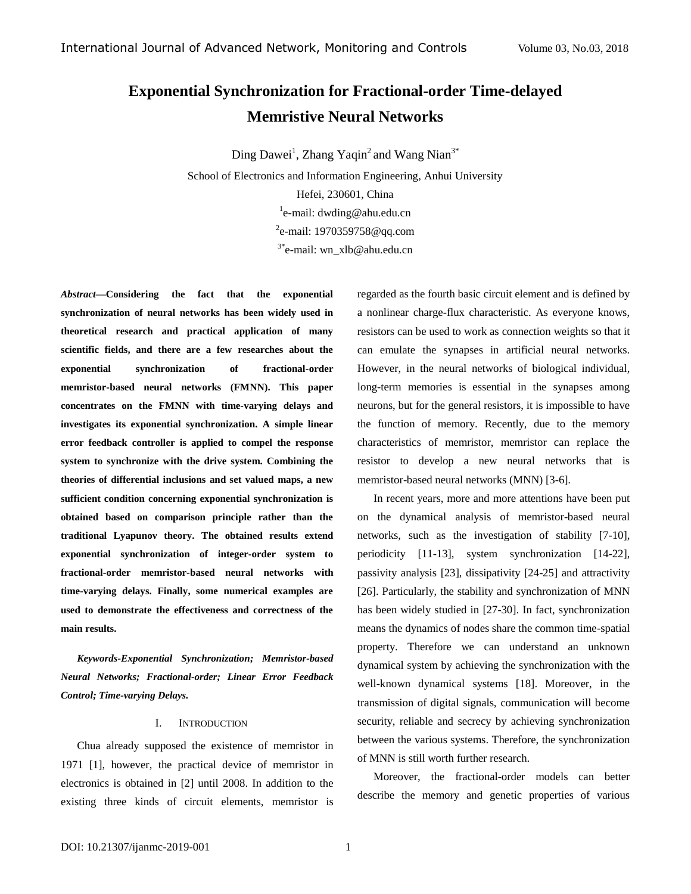# **Exponential Synchronization for Fractional-order Time-delayed Memristive Neural Networks**

Ding Dawei<sup>1</sup>, Zhang Yaqin<sup>2</sup> and Wang Nian<sup>3\*</sup>

School of Electronics and Information Engineering, Anhui University Hefei, 230601, China <sup>1</sup>e-mail: [dwding@ahu.edu.cn](mailto:dwding@ahu.edu.cn) <sup>2</sup>e-mail[: 1970359758@qq.com](mailto:1970359758@qq.com) 3\* e-mail: [wn\\_xlb@ahu.edu.cn](mailto:dwding@ahu.edu.cn)

*Abstract—***Considering the fact that the exponential synchronization of neural networks has been widely used in theoretical research and practical application of many scientific fields, and there are a few researches about the exponential synchronization of fractional-order memristor-based neural networks (FMNN). This paper concentrates on the FMNN with time-varying delays and investigates its exponential synchronization. A simple linear error feedback controller is applied to compel the response system to synchronize with the drive system. Combining the theories of differential inclusions and set valued maps, a new sufficient condition concerning exponential synchronization is obtained based on comparison principle rather than the traditional Lyapunov theory. The obtained results extend exponential synchronization of integer-order system to fractional-order memristor-based neural networks with time-varying delays. Finally, some numerical examples are used to demonstrate the effectiveness and correctness of the main results.**

*Keywords-Exponential Synchronization; Memristor-based Neural Networks; Fractional-order; Linear Error Feedback Control; Time-varying Delays.*

## I. INTRODUCTION

Chua already supposed the existence of memristor in 1971 [1], however, the practical device of memristor in electronics is obtained in [2] until 2008. In addition to the existing three kinds of circuit elements, memristor is regarded as the fourth basic circuit element and is defined by a nonlinear charge-flux characteristic. As everyone knows, resistors can be used to work as connection weights so that it can emulate the synapses in artificial neural networks. However, in the neural networks of biological individual, long-term memories is essential in the synapses among neurons, but for the general resistors, it is impossible to have the function of memory. Recently, due to the memory characteristics of memristor, memristor can replace the resistor to develop a new neural networks that is memristor-based neural networks (MNN) [3-6].

In recent years, more and more attentions have been put on the dynamical analysis of memristor-based neural networks, such as the investigation of stability [7-10], periodicity [11-13], system synchronization [14-22], passivity analysis [23], dissipativity [24-25] and attractivity [26]. Particularly, the stability and synchronization of MNN has been widely studied in [27-30]. In fact, synchronization means the dynamics of nodes share the common time-spatial property. Therefore we can understand an unknown dynamical system by achieving the synchronization with the well-known dynamical systems [18]. Moreover, in the transmission of digital signals, communication will become security, reliable and secrecy by achieving synchronization between the various systems. Therefore, the synchronization of MNN is still worth further research.

Moreover, the fractional-order models can better describe the memory and genetic properties of various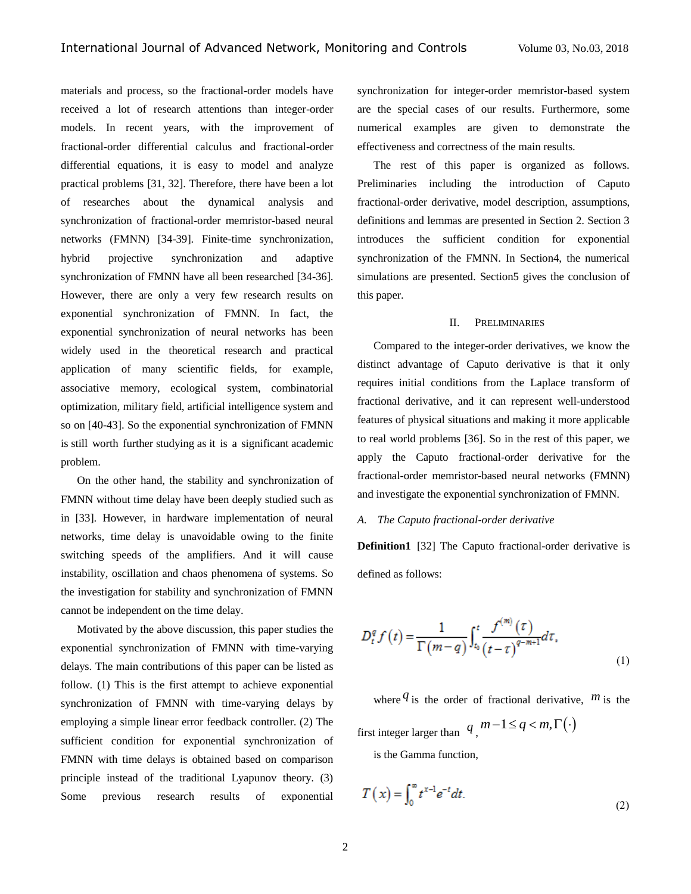materials and process, so the fractional-order models have received a lot of research attentions than integer-order models. In recent years, with the improvement of fractional-order differential calculus and fractional-order differential equations, it is easy to model and analyze practical problems [31, 32]. Therefore, there have been a lot of researches about the dynamical analysis and synchronization of fractional-order memristor-based neural networks (FMNN) [34-39]. Finite-time synchronization, hybrid projective synchronization and adaptive synchronization of FMNN have all been researched [34-36]. However, there are only a very few research results on exponential synchronization of FMNN. In fact, the exponential synchronization of neural networks has been widely used in the theoretical research and practical application of many scientific fields, for example, associative memory, ecological system, combinatorial optimization, military field, artificial intelligence system and so on [40-43]. So the exponential synchronization of FMNN is still worth further studying as it is a significant academic problem.

On the other hand, the stability and synchronization of FMNN without time delay have been deeply studied such as in [33]. However, in hardware implementation of neural networks, time delay is unavoidable owing to the finite switching speeds of the amplifiers. And it will cause instability, oscillation and chaos phenomena of systems. So the investigation for stability and synchronization of FMNN cannot be independent on the time delay.

Motivated by the above discussion, this paper studies the exponential synchronization of FMNN with time-varying delays. The main contributions of this paper can be listed as follow. (1) This is the first attempt to achieve exponential synchronization of FMNN with time-varying delays by employing a simple linear error feedback controller. (2) The sufficient condition for exponential synchronization of FMNN with time delays is obtained based on comparison principle instead of the traditional Lyapunov theory. (3) Some previous research results of exponential

synchronization for integer-order memristor-based system are the special cases of our results. Furthermore, some numerical examples are given to demonstrate the effectiveness and correctness of the main results.

The rest of this paper is organized as follows. Preliminaries including the introduction of Caputo fractional-order derivative, model description, assumptions, definitions and lemmas are presented in Section 2. Section 3 introduces the sufficient condition for exponential synchronization of the FMNN. In Section4, the numerical simulations are presented. Section5 gives the conclusion of this paper.

# II. PRELIMINARIES

Compared to the integer-order derivatives, we know the distinct advantage of Caputo derivative is that it only requires initial conditions from the Laplace transform of fractional derivative, and it can represent well-understood features of physical situations and making it more applicable to real world problems [36]. So in the rest of this paper, we apply the Caputo fractional-order derivative for the fractional-order memristor-based neural networks (FMNN) and investigate the exponential synchronization of FMNN.

# *A. The Caputo fractional-order derivative*

**Definition1** [32] The Caputo fractional-order derivative is defined as follows:

$$
D_t^q f(t) = \frac{1}{\Gamma(m-q)} \int_{t_0}^t \frac{f^{(m)}(\tau)}{(t-\tau)^{q-m+1}} d\tau,
$$
\n(1)

where  $q$  is the order of fractional derivative,  $m$  is the first integer larger than  $q$ ,  $m-1 \leq q < m, \Gamma(\cdot)$ 

is the Gamma function,

$$
T(x) = \int_0^\infty t^{x-1} e^{-t} dt.
$$
 (2)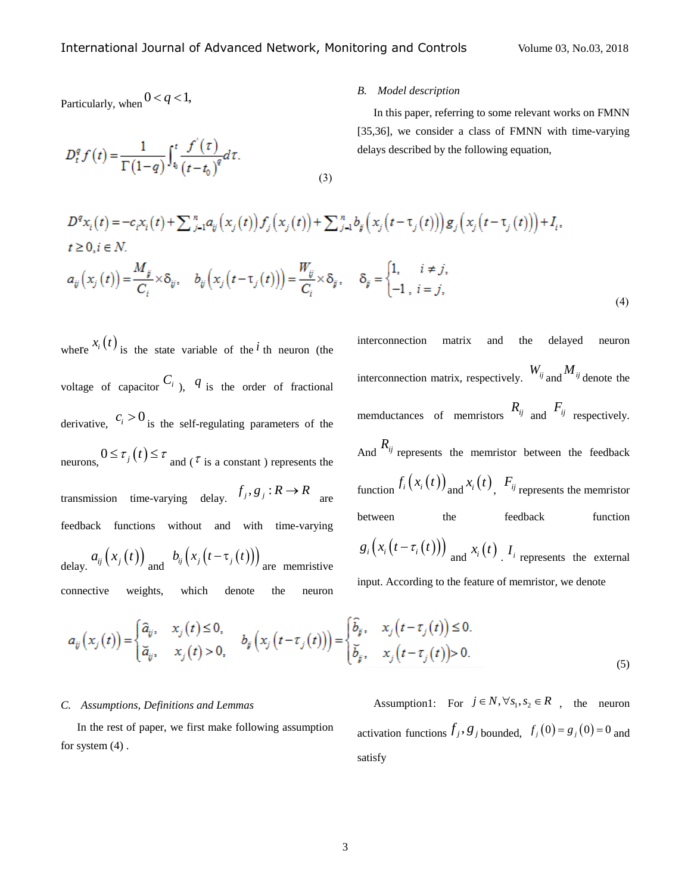Particularly, when  $0 < q < 1$ ,

$$
D_t^q f(t) = \frac{1}{\Gamma(1-q)} \int_{t_0}^t \frac{f'(t)}{(t-t_0)^q} dt.
$$
\n(3)

# *B. Model description*

In this paper, referring to some relevant works on FMNN [35,36], we consider a class of FMNN with time-varying delays described by the following equation,

$$
D^q x_i(t) = -c_i x_i(t) + \sum_{j=1}^n a_{ij} (x_j(t)) f_j(x_j(t)) + \sum_{j=1}^n b_{ij} (x_j(t - \tau_j(t))) g_j(x_j(t - \tau_j(t))) + I_i,
$$
  
\n
$$
t \ge 0, i \in N.
$$
  
\n
$$
a_{ij} (x_j(t)) = \frac{M_{ij}}{C_i} \times \delta_{ij}, \quad b_{ij} (x_j(t - \tau_j(t))) = \frac{W_{ij}}{C_i} \times \delta_{ij}, \quad \delta_{ij} = \begin{cases} 1, & i \ne j, \\ -1, & i = j, \end{cases}
$$
 (4)

where  $x_i(t)$  is the state variable of the <sup>*i*</sup> th neuron (the voltage of capacitor  $C_i$ ,  $q$  is the order of fractional derivative,  $c_i > 0$  is the self-regulating parameters of the neurons,  $0 \le \tau_j(t) \le \tau$  and ( $\tau$  is a constant) represents the transmission time-varying delay.  $f_j$ ,  $g_j$ :  $R \rightarrow R$  are feedback functions without and with time-varying delay.  $a_{ij}(x_i(t))$  and  $b_{ij}(x_i(t-\tau_i(t)))$  are memristive

connective weights, which denote the neuron

interconnection matrix and the delayed neuron

interconnection matrix, respectively.  $W_{ij}$  and  $M_{ij}$  denote the memductances of memristors  $R_{ij}$  and  $F_{ij}$  respectively. And  $R_{ij}$  represents the memristor between the feedback function  $f_i(x_i(t))$  and  $x_i(t)$ ,  $F_{ij}$  represents the memristor between the feedback function  $g_i\left(x_i\left(t-\tau_i\left(t\right)\right)\right)$  and  $x_i\left(t\right)$  *I<sub>i*</sub> represents the external

input. According to the feature of memristor, we denote

$$
a_{ij}(x_j(t)) = \begin{cases} \hat{a}_{ij}, & x_j(t) \le 0, \\ \breve{a}_{ij}, & x_j(t) > 0, \end{cases} \quad b_{ij}(x_j(t-\tau_j(t))) = \begin{cases} \hat{b}_{ij}, & x_j(t-\tau_j(t)) \le 0, \\ \breve{b}_{ij}, & x_j(t-\tau_j(t)) > 0. \end{cases}
$$
 (5)

# *C. Assumptions, Definitions and Lemmas*

In the rest of paper, we first make following assumption for system  $(4)$ .

Assumption1: For  $j \in N$ ,  $\forall s_1, s_2 \in R$ , the neuron activation functions  $f_j$ ,  $g_j$  bounded,  $f_j(0) = g_j(0) = 0$  and satisfy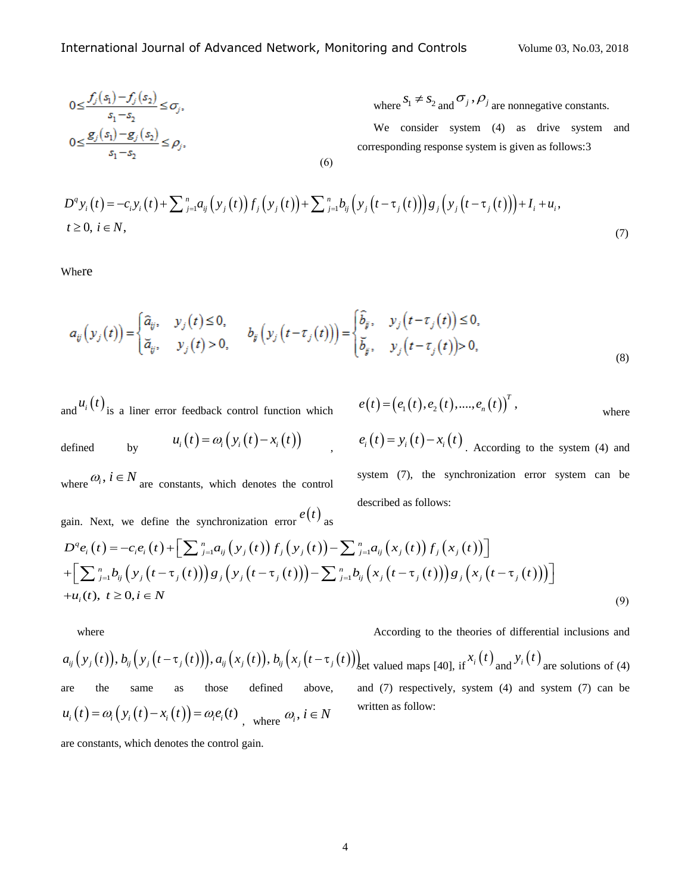$$
0 \le \frac{f_j(s_1) - f_j(s_2)}{s_1 - s_2} \le \sigma_j,
$$
  
\n
$$
0 \le \frac{g_j(s_1) - g_j(s_2)}{s_1 - s_2} \le \rho_j,
$$
  
\n(6)

where 
$$
S_1 \neq S_2
$$
 and  $\sigma_j$ ,  $\rho_j$  are nonnegative constants.

We consider system (4) as drive system and corresponding response system is given as follows:3

$$
0 \le \frac{g_j(s_1) - g_j(s_2)}{s_1 - s_2} \le O_j,
$$
\nwe consider system (4) as drive system and corresponding response system is given as follows:3  
\n
$$
D^q y_i(t) = -c_i y_i(t) + \sum_{j=1}^n a_{ij} (y_j(t)) f_j(y_j(t)) + \sum_{j=1}^n b_{ij} (y_j(t- \tau_j(t))) g_j(y_j(t- \tau_j(t))) + I_i + u_i,
$$
\n
$$
t \ge 0, i \in N,
$$
\n(7)

Where

$$
a_{ij}(y_j(t)) = \begin{cases} \hat{a}_{ij}, & y_j(t) \le 0, \\ \breve{a}_{ij}, & y_j(t) > 0, \end{cases} \qquad b_{ij}(y_j(t-\tau_j(t))) = \begin{cases} \hat{b}_{ij}, & y_j(t-\tau_j(t)) \le 0, \\ \breve{b}_{ij}, & y_j(t-\tau_j(t)) > 0, \end{cases}
$$
\n(8)

and  $u_i(t)$  is a liner error feedback control function which defined by  $u_i(t) = \omega_i (y_i(t) - x_i(t))$  $\mathbf{r}$ 

where  $\omega_i$ ,  $i \in N$  are constants, which denotes the control

 $(t) = (e_1(t), e_2(t), ..., e_n(t))^T$ ,  $e(t) = (e_1(t), e_2(t), \dots, e_n(t))$ where

$$
e_i(t) = y_i(t) - x_i(t)
$$
. According to the system (4) and  
system (7), the synchronization error system can be  
described as follows:

where 
$$
\omega_i
$$
,  $i \in N$  are constants, which denotes the control  
gain. Next, we define the synchronization error  $e(t)$  as  

$$
D^q e_i(t) = -c_i e_i(t) + \left[\sum_{j=1}^n a_{ij} (y_j(t)) f_j(y_j(t)) - \sum_{j=1}^n a_{ij} (x_j(t)) f_j(x_j(t))\right]
$$

$$
+ \left[\sum_{j=1}^n b_{ij} (y_j(t- \tau_j(t))) g_j(y_j(t- \tau_j(t))) - \sum_{j=1}^n b_{ij} (x_j(t- \tau_j(t))) g_j(x_j(t- \tau_j(t)))\right]
$$

$$
+ u_i(t), t \ge 0, i \in N
$$
(9)

where

According to the theories of differential inclusions and

where  
\nAccording to the theories of differential inclusions and  
\n
$$
a_{ij}(y_j(t)), b_{ij}(y_j(t-\tau_j(t))), a_{ij}(x_j(t)), b_{ij}(x_j(t-\tau_j(t)))
$$
\n
$$
a_{ij}(x_j(t)), b_{ij}(x_j(t-\tau_j(t)))
$$
\nwhere  $x_i(t)$  and  $y_i(t)$  and  $y_j(t)$  are solutions of (4)  
\nare the same as those defined above, and (7) respectively, system (4) and system (7) can be  
\n*u*<sub>i</sub>(*t*) =  $\omega_i(y_i(t) - x_i(t)) = \omega_i e_i(t)$ , where  $\omega_i, i \in N$ 

are constants, which denotes the control gain.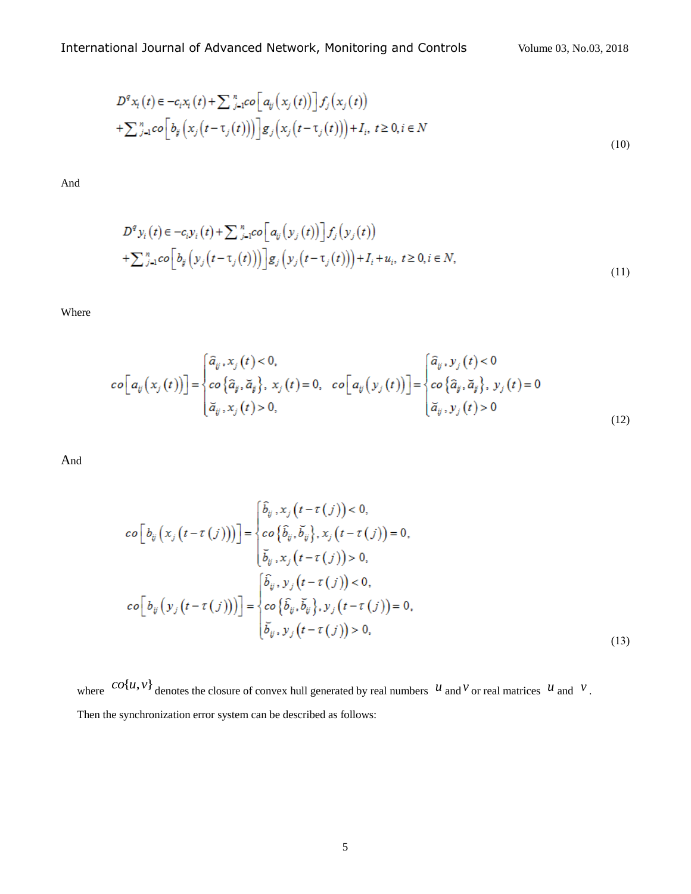$$
D^q x_i(t) \in -c_i x_i(t) + \sum_{j=1}^n c \circ [a_{ij}(x_j(t))] f_j(x_j(t))
$$
  
+
$$
\sum_{j=1}^n c \circ [b_{ij}(x_j(t-\tau_j(t)))] g_j(x_j(t-\tau_j(t))) + I_i, t \ge 0, i \in N
$$
  
(10)

And

$$
D^q y_i(t) \in -c_i y_i(t) + \sum_{j=1}^n co\Big[a_{ij}(y_j(t))\Big] f_j(y_j(t))
$$
  
+
$$
\sum_{j=1}^n co\Big[b_{ij}(y_j(t-\tau_j(t))\Big] g_j(y_j(t-\tau_j(t))) + I_i + u_i, t \ge 0, i \in N,
$$
  
(11)

Where

$$
co[a_{ij}(x_j(t))] = \begin{cases} \hat{a}_{ij}, x_j(t) < 0, \\ co\{\hat{a}_{ij}, \tilde{a}_{ij}\}, x_j(t) = 0, & co\left[a_{ij}(y_j(t))\right] = \begin{cases} \hat{a}_{ij}, y_j(t) < 0 \\ co\{\hat{a}_{ij}, \tilde{a}_{ij}\}, y_j(t) = 0 \\ \tilde{a}_{ij}, y_j(t) > 0 \end{cases} \\ \tilde{a}_{ij}, y_j(t) > 0 \end{cases} \tag{12}
$$

And

$$
co[v_{ij}(x_j(t-\tau(j)))] = \begin{cases} \hat{b}_{ij}, x_j(t-\tau(j)) < 0, \\ co\{\hat{b}_{ij}, \check{b}_{ij}\}, x_j(t-\tau(j)) = 0, \\ \check{b}_{ij}, x_j(t-\tau(j)) > 0, \end{cases}
$$
\n
$$
co[v_{ij}(y_j(t-\tau(j)))] = \begin{cases} \hat{b}_{ij}, y_j(t-\tau(j)) < 0, \\ co\{\hat{b}_{ij}, y_j(t-\tau(j)) < 0, \\ co\{\hat{b}_{ij}, y_j(t-\tau(j)) = 0, \\ \check{b}_{ij}, y_j(t-\tau(j)) > 0, \end{cases}
$$
\n
$$
(13)
$$

where  $co\{u, v\}$  denotes the closure of convex hull generated by real numbers  $u$  and  $v$  or real matrices  $u$  and  $v$ . Then the synchronization error system can be described as follows: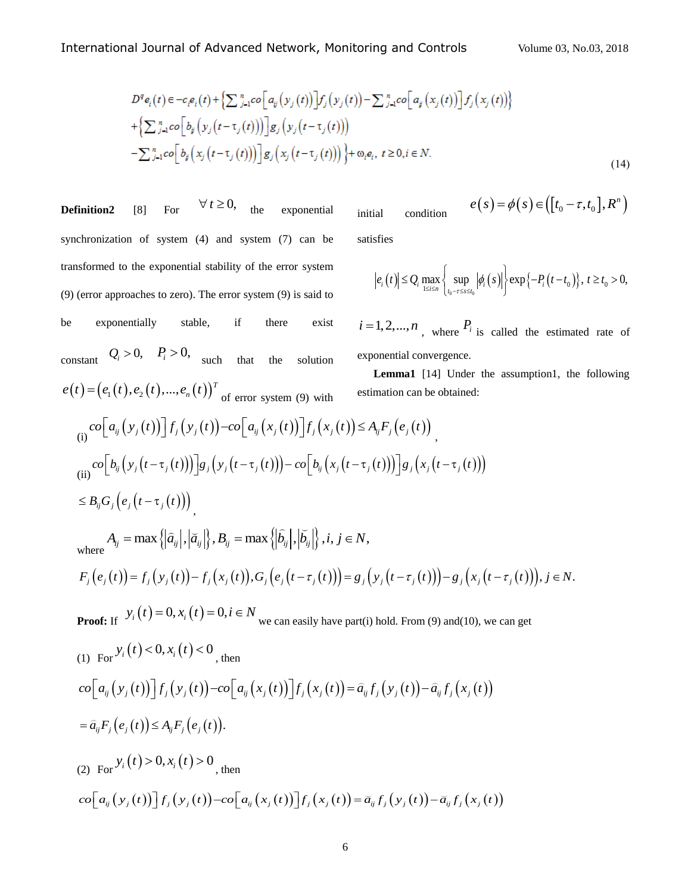*n*

$$
D^{q}e_{i}(t) \in -c_{i}e_{i}(t) + \left\{\sum_{j=1}^{n} \cos\left[a_{ij}(y_{j}(t))\right] f_{j}(y_{j}(t)) - \sum_{j=1}^{n} \cos\left[a_{ij}(x_{j}(t))\right] f_{j}(x_{j}(t))\right\} + \left\{\sum_{j=1}^{n} \cos\left[b_{ij}(y_{j}(t-\tau_{j}(t)))\right] g_{j}(y_{j}(t-\tau_{j}(t))) - \sum_{j=1}^{n} \cos\left[b_{ij}(x_{j}(t-\tau_{j}(t)))\right] g_{j}(x_{j}(t-\tau_{j}(t))) \right\} + \omega_{i}e_{i}, t \geq 0, i \in N.
$$
\n(14)

**Definition2** [8] For  $\forall t \geq 0,$  the exponential synchronization of system (4) and system (7) can be transformed to the exponential stability of the error system (9) (error approaches to zero). The error system (9) is said to be exponentially stable, if there exist constant  $Q_i > 0$ ,  $P_i > 0$ , such that the solution  $(t) = (e_1(t), e_2(t), ..., e_n(t))$ *T*  $e(t) = (e_1(t), e_2(t), ..., e_n(t))^T$  of error system (9) with initial condition satisfies  $f(t) = (e_1(t), e_2(t), ..., e_n(t))^T$  of error system (9) with estimation can be<br>
(i)  $co[a_{ij}(y_j(t))] f_j(y_j(t)) - co[a_{ij}(x_j(t))] f_j(x_j(t)) \leq A_{ij} F_j(e_j(t))$ (i)  $co[a_{ij}(y_j(t))]f_j(y_j(t)) - co[a_{ij}(x_j(t))]f_j(x_j(t)) \leq A_{ij}F_j(e_j(t))$ <br>
(ii)  $co[b_{ij}(y_j(t-\tau_j(t)))]g_j(y_j(t-\tau_j(t))) - co[b_{ij}(x_j(t-\tau_j(t)))]g_j(x_j(t-\tau_j(t)))$  $\leq B_{ij} G_j\Bigl(e_j\bigl(t-\tau_j(t)\bigr)\Bigr)$ <sub>1</sub>  $A_{ij} = \max \{ |\tilde{a}_{ij}|, |\tilde{a}_{ij}| \}, B_{ij} = \max \{ |\tilde{b}_{ij}|, |\tilde{b}_{ij}| \}, i, j \in N,$  $\leq B_{ij}G_j(e_j(t-\tau_j(t)))$ <br>  $A_{ij} = \max \{ |\hat{a}_{ij}|, |\check{a}_{ij}| \}, B_{ij} = \max \{ |\hat{b}_{ij}|, |\check{b}_{ij}| \}, i, j \in N,$ <br>  $F_j(e_j(t)) = f_j(y_j(t)) - f_j(x_j(t)), G_j(e_j(t-\tau_j(t))) = g_j(y_j(t-\tau_j(t))) - g_j(x_j(t-\tau_j(t))), j \in N.$ 

$$
F_{j}(e_{j}(t)) = f_{j}(y_{j}(t)) - f_{j}(x_{j}(t)), G_{j}(e_{j}(t-\tau_{j}(t))) = g_{j}(y_{j}(t-\tau_{j}(t))) - g_{j}(x_{j}(t-\tau_{j}(t))), j \in N.
$$

**Proof:** If  $y_i(t) = 0, x_i(t) = 0, i \in N$  we can easily have part(i) hold. From (9) and(10), we can get

(1) For 
$$
Y_i(t) < 0
$$
,  $x_i(t) < 0$ , then  
\n
$$
co[a_{ij}(y_j(t))]f_j(y_j(t)) - co[a_{ij}(x_j(t))]f_j(x_j(t)) = \hat{a}_{ij}f_j(y_j(t)) - \hat{a}_{ij}f_j(x_j(t))
$$
\n
$$
= \hat{a}_{ij}F_j(e_j(t)) \le A_{ij}F_j(e_j(t)).
$$
\n(2) For  $Y_i(t) > 0$ ,  $x_i(t) > 0$ , then  
\n
$$
co[a_{ij}(y_j(t))]f_j(y_j(t)) - co[a_{ij}(x_j(t))]f_j(x_j(t)) = \tilde{a}_{ij}f_j(y_j(t)) - \tilde{a}_{ij}f_j(x_j(t))
$$

$$
e(s) = \phi(s) \in ([t_0 - \tau, t_0], R^n)
$$

$$
\left|e_i\left(t\right)\right| \leq Q_i \max_{1 \leq i \leq n} \left\{\sup_{t_0 - \tau \leq s \leq t_0} \left|\phi_i\left(s\right)\right|\right\} \exp\left\{-P_i\left(t - t_0\right)\right\}, \ t \geq t_0 > 0,
$$

 $i = 1, 2, \dots, n$ , where  $P_i$  is called the estimated rate of exponential convergence.

**Lemma1** [14] Under the assumption1, the following estimation can be obtained: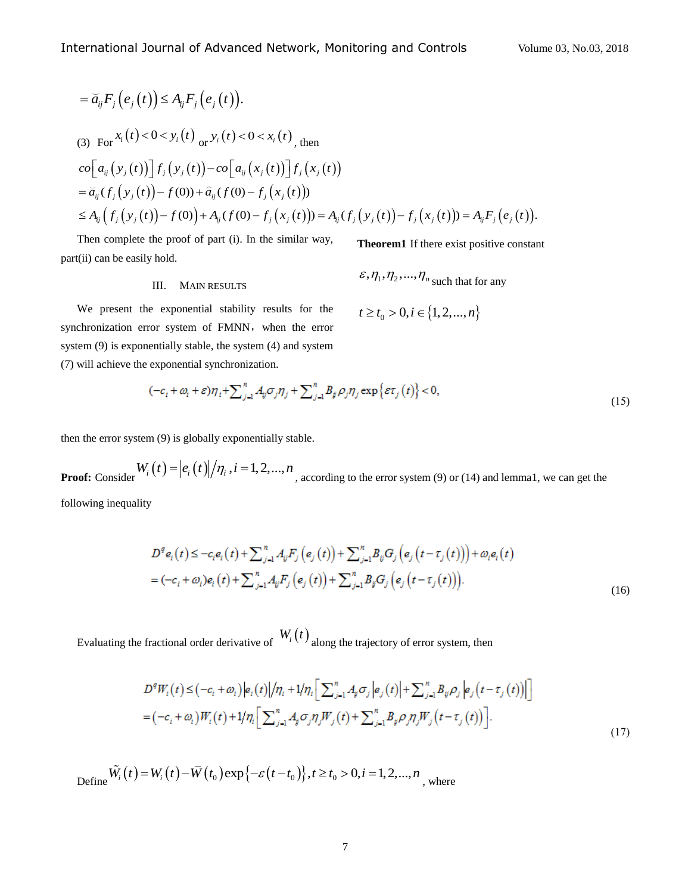$$
= \vec{a}_{ij} F_j(e_j(t)) \leq A_{ij} F_j(e_j(t)).
$$
  
\n(3) For  $x_i(t) < 0 < y_i(t)$  or  $y_i(t) < 0 < x_i(t)$ , then  
\n
$$
co[a_{ij}(y_j(t))] f_j(y_j(t)) - co[a_{ij}(x_j(t))] f_j(x_j(t))
$$
\n
$$
= \vec{a}_{ij}(f_j(y_j(t)) - f(0)) + \vec{a}_{ij}(f(0) - f_j(x_j(t)))
$$
\n
$$
\leq A_{ij}(f_j(y_j(t)) - f(0)) + A_{ij}(f(0) - f_j(x_j(t))) = A_{ij}(f_j(y_j(t)) - f_j(x_j(t))) = A_{ij}F_j(e_j(t)).
$$

Then complete the proof of part (i). In the similar way, part(ii) can be easily hold.

**Theorem1** If there exist positive constant

# III. MAIN RESULTS

$$
t \ge t_0 > 0, i \in \{1, 2, ..., n\}
$$

 $\varepsilon$ ,  $\eta_1$ ,  $\eta_2$ , ...,  $\eta_n$  such that for any

We present the exponential stability results for the synchronization error system of FMNN, when the error system (9) is exponentially stable, the system (4) and system (7) will achieve the exponential synchronization.

$$
(-c_i + \omega_i + \varepsilon)\eta_i + \sum_{j=1}^n A_{ij}\sigma_j\eta_j + \sum_{j=1}^n B_{ij}\rho_j\eta_j \exp\{\varepsilon\tau_j(t)\} < 0,
$$
\n(15)

then the error system (9) is globally exponentially stable.

**Proof:** Consider  $W_i(t) = |e_i(t)|/n_i$ ,  $i = 1, 2, ..., n$ , according to the error system (9) or (14) and lemma1, we can get the

following inequality

$$
D^{q} e_{i}(t) \leq -c_{i} e_{i}(t) + \sum_{j=1}^{n} A_{ij} F_{j}(e_{j}(t)) + \sum_{j=1}^{n} B_{ij} G_{j}(e_{j}(t-\tau_{j}(t))) + \omega_{i} e_{i}(t)
$$
  
=  $(-c_{i} + \omega_{i}) e_{i}(t) + \sum_{j=1}^{n} A_{ij} F_{j}(e_{j}(t)) + \sum_{j=1}^{n} B_{j} G_{j}(e_{j}(t-\tau_{j}(t))).$  (16)

Evaluating the fractional order derivative of  $W_i(t)$  along the trajectory of error system, then

$$
D^{q}W_{i}(t) \leq (-c_{i} + \omega_{i})|e_{i}(t)|/\eta_{i} + 1/\eta_{i} \Big[\sum_{j=1}^{n} A_{j} \sigma_{j} |e_{j}(t)| + \sum_{j=1}^{n} B_{ij} \rho_{j} |e_{j}(t - \tau_{j}(t))|\Big]
$$
  
=  $(-c_{i} + \omega_{i})W_{i}(t) + 1/\eta_{i} \Big[\sum_{j=1}^{n} A_{j} \sigma_{j} \eta_{j} W_{j}(t) + \sum_{j=1}^{n} B_{j} \rho_{j} \eta_{j} W_{j}(t - \tau_{j}(t))\Big].$  (17)

Define  $\tilde{W}_i(t) = W_i(t) - \bar{W}(t_0) \exp\{-\varepsilon(t - t_0)\}, t \ge t_0 > 0, i = 1, 2, ..., n$  $\tilde{v}$ , where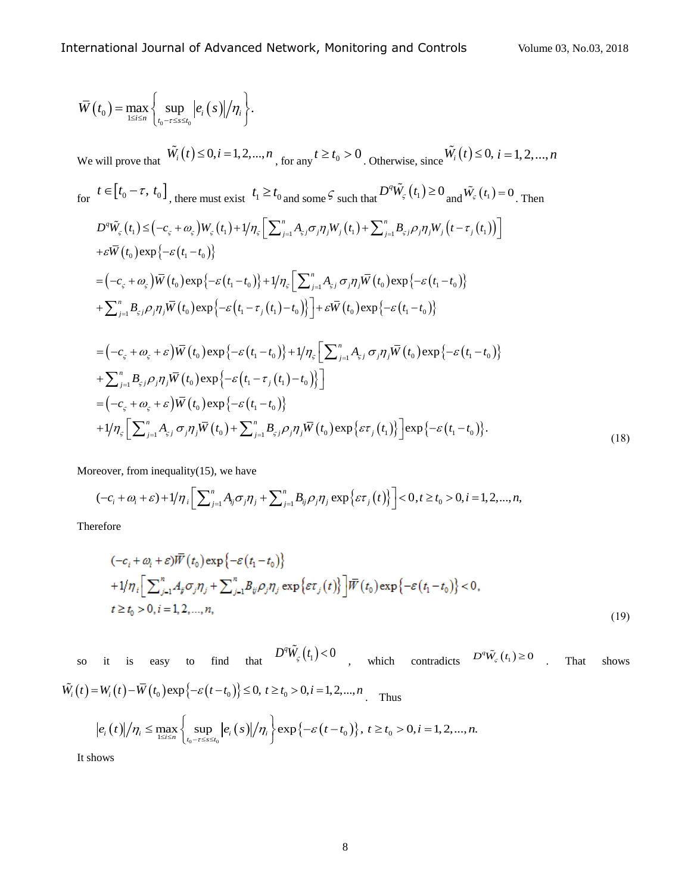$$
\overline{W}(t_0) = \max_{1 \leq i \leq n} \left\{ \sup_{t_0 - \tau \leq x \leq t_0} |e_i(s)|/\eta_i \right\}.
$$
\nWe will prove that\n
$$
\overline{W}_i(t) \leq 0, i = 1, 2, ..., n, \text{ for any } t \geq t_0 > 0. \text{ Otherwise, since } \overline{W}_i(t) \leq 0, i = 1, 2, ..., n
$$
\nfor\n
$$
t \in [t_0 - \tau, t_0], \text{ there must exist } t_1 \geq t_0 \text{ and some } \varsigma \text{ such that } D^{\sigma} \overline{W}_{\varsigma}(t_1) \geq 0 \text{ and } \overline{W}_{\varsigma}(t_1) = 0. \text{ Then}
$$
\n
$$
D^{\sigma} \overline{W}_{\varsigma}(t_1) \leq (-c_{\varsigma} + \omega_{\varsigma}) W_{\varsigma}(t_1) + |\eta_{\varsigma} \left[ \sum_{j=1}^n A_{\varsigma j} \sigma_j \eta_j W_j(t_1) + \sum_{j=1}^n B_{\varsigma j} \rho_j \eta_j W_j(t_1 - \tau_j(t_1)) \right]
$$
\n
$$
+ \varepsilon \overline{W}(t_0) \exp\{-\varepsilon(t_1 - t_0)\}
$$
\n
$$
= (-c_{\varsigma} + \omega_{\varsigma}) \overline{W}(t_0) \exp\{-\varepsilon(t_1 - t_0)\} + 1/\eta_{\varsigma} \left[ \sum_{j=1}^n A_{\varsigma j} \sigma_j \eta_j \overline{W}(t_0) \exp\{-\varepsilon(t_1 - t_0)\} \right]
$$
\n
$$
+ \sum_{j=1}^n B_{\varsigma j} \rho_j \eta_j \overline{W}(t_0) \exp\{-\varepsilon(t_1 - \tau_j(t_1) - t_0)\} + \varepsilon \overline{W}(t_0) \exp\{-\varepsilon(t_1 - t_0)\}
$$
\n
$$
+ \sum_{j=1}^n B_{\varsigma j} \rho_j \eta_j \overline{W}(t_0) \exp\{-\varepsilon(t_1 - t_0)\} + 1/\eta_{\varsigma} \left[ \sum_{j=1}^n A_{\varsigma j} \sigma_j \eta_j \overline{W}(t_0) \exp\{-
$$

Moreover, from inequality $(15)$ , we have

teover, from inequality(15), we have  
\n
$$
(-c_i + \omega_i + \varepsilon) + 1/\eta_i \Big[ \sum_{j=1}^n A_{ij} \sigma_j \eta_j + \sum_{j=1}^n B_{ij} \rho_j \eta_j \exp\{\varepsilon \tau_j(t)\} \Big] < 0, t \ge t_0 > 0, i = 1, 2, ..., n,
$$

Therefore

$$
(-c_i + \omega_i + \varepsilon)\overline{W}(t_0) \exp\{-\varepsilon(t_1 - t_0)\}\
$$
  
+1/ $\eta_i$   $\Big[\sum_{j=1}^n A_j \sigma_j \eta_j + \sum_{j=1}^n B_{ij} \rho_j \eta_j \exp\{\varepsilon \tau_j(t)\}\Big] \overline{W}(t_0) \exp\{-\varepsilon(t_1 - t_0)\} < 0,$   
 $t \ge t_0 > 0, i = 1, 2, ..., n,$  (19)

so it is easy to find that  $D^q \tilde{W}_\zeta(t_1) < 0$ which contradicts  $D^q \tilde{W}_\epsilon(t_1) \ge 0$  . That shows so it is easy to find that  $D^w W_{\varsigma}(t_1) < 0$ ,<br>  $\tilde{W}_i(t) = W_i(t) - \overline{W}(t_0) \exp\{-\varepsilon(t-t_0)\} \le 0, t \ge t_0 > 0, i = 1, 2, ..., n$ .  $\tilde{v}$ . Thus  $W_i(t) - \overline{W}(t_0) \exp\{-\varepsilon(t - t_0)\} \le 0, t \ge t_0 > 0, i = 1, 2, ..., n$ . Thus<br>  $e_i(t) / \eta_i \le \max_{1 \le i \le n} \left\{ \sup_{t_0 - \tau \le s \le t_0} |e_i(s)| / \eta_i \right\} \exp\{-\varepsilon(t - t_0)\}, t \ge t_0 > 0, i = 1, 2, ..., n.$ 

It shows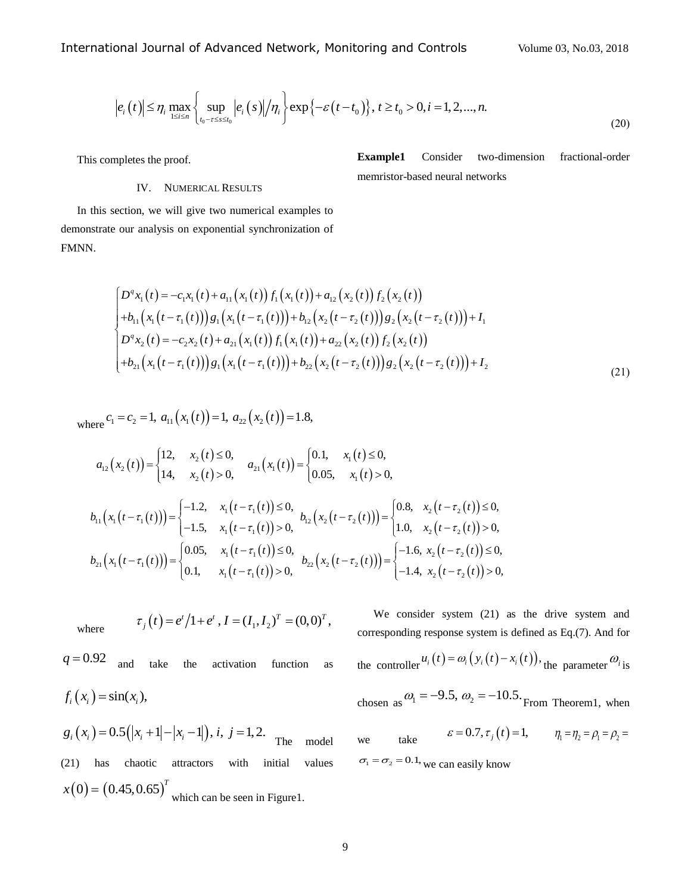$$
|e_i(t)| \leq \eta_i \max_{1 \leq i \leq n} \left\{ \sup_{t_0 - \tau \leq s \leq t_0} |e_i(s)| / \eta_i \right\} \exp\left\{-\varepsilon(t - t_0)\right\}, \ t \geq t_0 > 0, i = 1, 2, \dots, n. \tag{20}
$$

This completes the proof.

# IV. NUMERICAL RESULTS

**Example1** Consider two-dimension fractional-order memristor-based neural networks

In this section, we will give two numerical examples to demonstrate our analysis on exponential synchronization of FMNN.

$$
\begin{cases}\nD^q x_1(t) = -c_1 x_1(t) + a_{11}(x_1(t)) f_1(x_1(t)) + a_{12}(x_2(t)) f_2(x_2(t)) \\
+ b_{11}(x_1(t-\tau_1(t))) g_1(x_1(t-\tau_1(t))) + b_{12}(x_2(t-\tau_2(t))) g_2(x_2(t-\tau_2(t))) + I_1 \\
D^q x_2(t) = -c_2 x_2(t) + a_{21}(x_1(t)) f_1(x_1(t)) + a_{22}(x_2(t)) f_2(x_2(t)) \\
+ b_{21}(x_1(t-\tau_1(t))) g_1(x_1(t-\tau_1(t))) + b_{22}(x_2(t-\tau_2(t))) g_2(x_2(t-\tau_2(t))) + I_2\n\end{cases}
$$
\n(21)

where 
$$
c_1 = c_2 = 1
$$
,  $a_{11}(x_1(t)) = 1$ ,  $a_{22}(x_2(t)) = 1.8$ ,

here 
$$
C_1 = C_2 = 1
$$
,  $a_{11}(x_1(t)) = 1$ ,  $a_{22}(x_2(t)) = 1.8$ ,  
\n
$$
a_{12}(x_2(t)) =\begin{cases} 12, & x_2(t) \le 0, \\ 14, & x_2(t) > 0, \end{cases}
$$
\n
$$
a_{21}(x_1(t)) =\begin{cases} 0.1, & x_1(t) \le 0, \\ 0.05, & x_1(t) > 0, \end{cases}
$$
\n
$$
b_{11}(x_1(t-\tau_1(t))) =\begin{cases} -1.2, & x_1(t-\tau_1(t)) \le 0, \\ -1.5, & x_1(t-\tau_1(t)) > 0, \end{cases}
$$
\n
$$
b_{12}(x_2(t-\tau_2(t))) =\begin{cases} 0.8, & x_2(t-\tau_2(t)) \le 0, \\ 1.0, & x_2(t-\tau_2(t)) > 0, \end{cases}
$$
\n
$$
b_{21}(x_1(t-\tau_1(t))) =\begin{cases} 0.05, & x_1(t-\tau_1(t)) \le 0, \\ 0.1, & x_1(t-\tau_1(t)) > 0, \end{cases}
$$
\n
$$
b_{22}(x_2(t-\tau_2(t))) =\begin{cases} -1.6, & x_2(t-\tau_2(t)) \le 0, \\ -1.4, & x_2(t-\tau_2(t)) > 0, \end{cases}
$$

where  $\tau_j(t) = e^t/1 + e^t$ ,  $I = (I_1, I_2)^T = (0, 0)^T$ ,  $q = 0.92$ and take the activation function as  $f_i(x_i) = \sin(x_i),$ 

 $g_i(x_i) = 0.5(|x_i + 1| - |x_i - 1|), i, j = 1, 2.$  The model (21) has chaotic attractors with initial values  $x(0) = (0.45, 0.65)^T$ which can be seen in Figure1.

We consider system (21) as the drive system and corresponding response system is defined as Eq.(7). And for the controller  $u_i(t) = \omega_i(y_i(t) - x_i(t))$ , the parameter  $\omega_i$  is chosen as  $\omega_1 = -9.5$ ,  $\omega_2 = -10.5$ . From Theorem1, when

we take  $\varepsilon = 0.7, \tau_j(t) = 1, \qquad \eta_1 = \eta_2 = \rho_1 = \rho_2 =$  $\sigma_1 = \sigma_2 = 0.1$ , we can easily know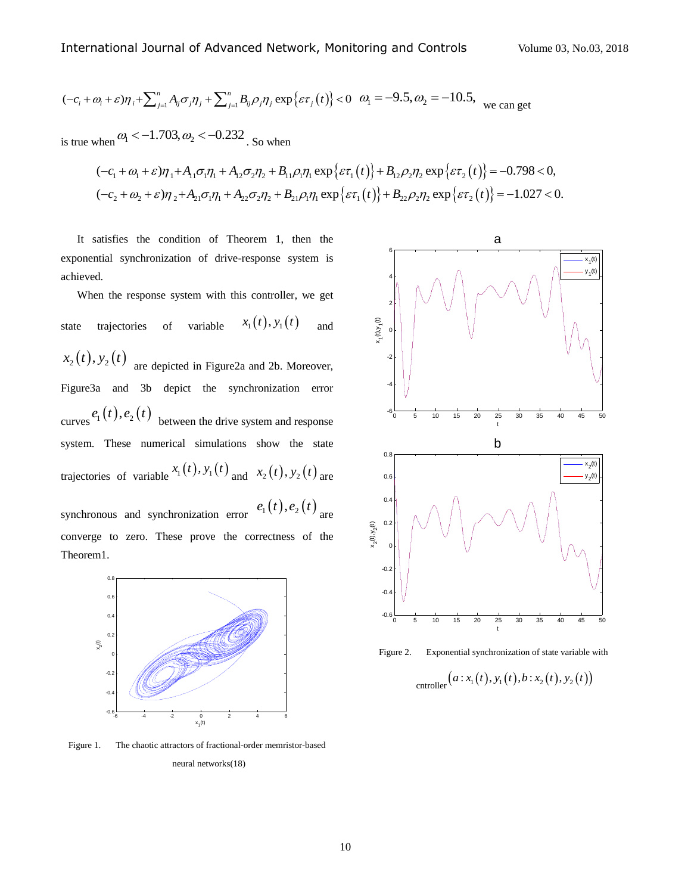International Journal of Advanced Network, Monitoring and Controls  
\n
$$
(-c_i + \omega_i + \varepsilon)\eta_i + \sum_{j=1}^n A_{ij}\sigma_j\eta_j + \sum_{j=1}^n B_{ij}\rho_j\eta_j \exp{\varepsilon\tau_j(t)} < 0
$$
  $\omega_1 = -9.5$ ,  $\omega_2 = -10.5$ , we can get

is true when  $\omega_1 < -1.703, \omega_2 < -0.232$ . So when

when 
$$
\omega_1 < -1.703
$$
,  $\omega_2 < -0.232$ . So when  
\n
$$
(-c_1 + \omega_1 + \varepsilon)\eta_1 + A_{11}\sigma_1\eta_1 + A_{12}\sigma_2\eta_2 + B_{11}\rho_1\eta_1 \exp{\{\varepsilon \tau_1(t)\} + B_{12}\rho_2\eta_2 \exp{\{\varepsilon \tau_2(t)\}} = -0.798 < 0,
$$
\n
$$
(-c_2 + \omega_2 + \varepsilon)\eta_2 + A_{21}\sigma_1\eta_1 + A_{22}\sigma_2\eta_2 + B_{21}\rho_1\eta_1 \exp{\{\varepsilon \tau_1(t)\} + B_{22}\rho_2\eta_2 \exp{\{\varepsilon \tau_2(t)\}} = -1.027 < 0.
$$

It satisfies the condition of Theorem 1, then the exponential synchronization of drive-response system is achieved.

( $-c, +\omega, +\omega$ ) $\eta, +\sum_{i=1}^{n} A_{ij}\sigma_j\eta_j + \sum_{i=1}^{n} B_{ij}\rho_j\eta_j \exp\{ar_j(t)\} < 0$ <br>
is true when  $\omega_i < -1.703$ ,  $\omega_2 < -0.232$ . So when<br>  $(-c_1 + \omega_1 + \varepsilon)\eta_1 + A_{11}\sigma_j\eta_1 + A_{12}\sigma_j\eta_2 + B_{11}\rho_i\eta_1 \exp\{ar_j(t)\} < 0$ <br>  $(-c_2 + \omega_2 + \varepsilon)\eta_2 + A_{21}\sigma_j\$ When the response system with this controller, we get state trajectories of variable  $x_1(t), y_1(t)$ and  $x_2(t), y_2(t)$  are depicted in Figure2a and 2b. Moreover, Figure3a and 3b depict the synchronization error curves  $e_1(t)$ ,  $e_2(t)$  between the drive system and response system. These numerical simulations show the state trajectories of variable  $x_1(t)$ ,  $y_1(t)$  and  $x_2(t)$ ,  $y_2(t)$  are synchronous and synchronization error  $e_1(t)$ ,  $e_2(t)$  are converge to zero. These prove the correctness of the



Theorem1.

Figure 1. The chaotic attractors of fractional-order memristor-based neural networks(18)





$$
_{\text{entroller}}\big(a\!:\!x_{1}(t),y_{1}(t),b\!:\!x_{2}(t),y_{2}(t)\big)
$$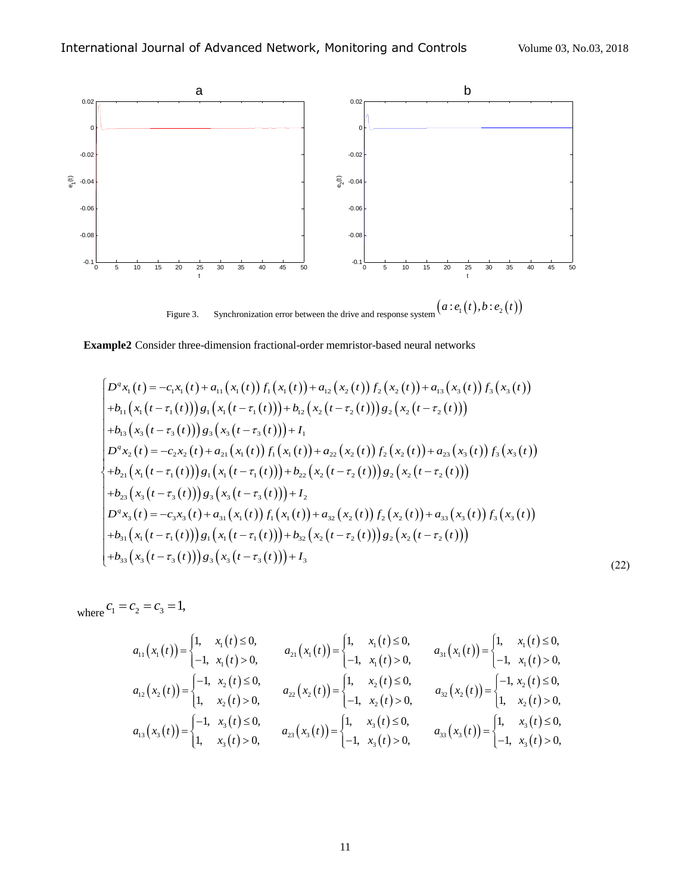

**Example2** Consider three-dimension fractional-order memristor-based neural networks

mple2 Consider three-dimensional-order memristor-based neural networks  
\n
$$
\begin{aligned}\nD^q x_1(t) &= -c_1x_1(t) + a_{11}(x_1(t)) f_1(x_1(t)) + a_{12}(x_2(t)) f_2(x_2(t)) + a_{13}(x_3(t)) f_3(x_3(t)) \\
+ b_{11}(x_1(t-\tau_1(t))) g_1(x_1(t-\tau_1(t))) + b_{12}(x_2(t-\tau_2(t))) g_2(x_2(t-\tau_2(t))) \\
+ b_{13}(x_3(t-\tau_3(t))) g_3(x_3(t-\tau_3(t))) + I_1 \\
D^q x_2(t) &= -c_2x_2(t) + a_{21}(x_1(t)) f_1(x_1(t)) + a_{22}(x_2(t)) f_2(x_2(t)) + a_{23}(x_3(t)) f_3(x_3(t)) \\
+ b_{21}(x_1(t-\tau_1(t))) g_1(x_1(t-\tau_1(t))) + b_{22}(x_2(t-\tau_2(t))) g_2(x_2(t-\tau_2(t))) \\
+ b_{23}(x_3(t-\tau_3(t))) g_3(x_3(t-\tau_3(t))) + I_2 \\
D^q x_3(t) &= -c_3x_3(t) + a_{31}(x_1(t)) f_1(x_1(t)) + a_{32}(x_2(t)) f_2(x_2(t)) + a_{33}(x_3(t)) f_3(x_3(t)) \\
+ b_{31}(x_1(t-\tau_1(t))) g_1(x_1(t-\tau_1(t))) + b_{32}(x_2(t-\tau_2(t))) g_2(x_2(t-\tau_2(t))) \\
+ b_{33}(x_3(t-\tau_3(t))) g_3(x_3(t-\tau_3(t))) + I_3\n\end{aligned}
$$
\n(22)

where  $c_1 = c_2 = c_3 = 1$ ,

$$
c_2 = c_3 = 1,
$$
  
\n
$$
a_{11}(x_1(t)) = \begin{cases} 1, & x_1(t) \le 0, \\ -1, & x_1(t) > 0, \end{cases}
$$
  
\n
$$
a_{21}(x_1(t)) = \begin{cases} 1, & x_1(t) \le 0, \\ -1, & x_1(t) > 0, \end{cases}
$$
  
\n
$$
a_{31}(x_1(t)) = \begin{cases} 1, & x_1(t) \ge 0, \\ -1, & x_1(t) > 0, \end{cases}
$$
  
\n
$$
a_{12}(x_2(t)) = \begin{cases} -1, & x_2(t) \le 0, \\ 1, & x_2(t) > 0, \end{cases}
$$
  
\n
$$
a_{22}(x_2(t)) = \begin{cases} 1, & x_2(t) \le 0, \\ -1, & x_2(t) > 0, \end{cases}
$$
  
\n
$$
a_{32}(x_2(t)) = \begin{cases} -1, & x_2(t) \le 0, \\ 1, & x_2(t) > 0, \end{cases}
$$
  
\n
$$
a_{13}(x_3(t)) = \begin{cases} -1, & x_3(t) \le 0, \\ 1, & x_3(t) > 0, \end{cases}
$$
  
\n
$$
a_{23}(x_3(t)) = \begin{cases} 1, & x_3(t) \le 0, \\ -1, & x_3(t) > 0, \end{cases}
$$
  
\n
$$
a_{33}(x_3(t)) = \begin{cases} 1, & x_3(t) \le 0, \\ -1, & x_3(t) > 0, \end{cases}
$$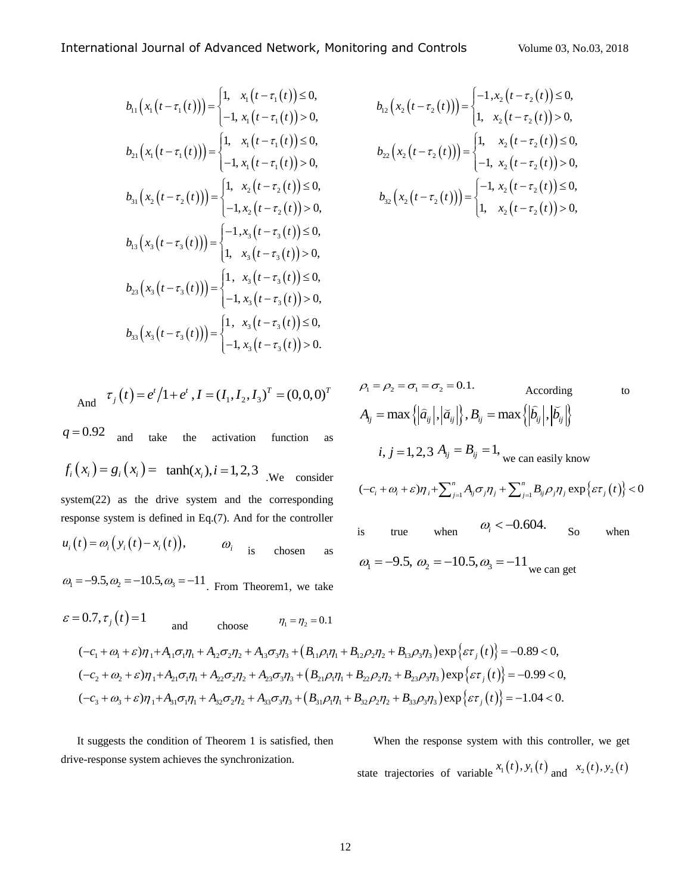$$
b_{11}(x_{1}(t-\tau_{1}(t))) = \begin{cases} 1, & x_{1}(t-\tau_{1}(t)) \leq 0, \\ -1, & x_{1}(t-\tau_{1}(t)) > 0, \end{cases} \qquad b_{12}(x_{2}(t-\tau_{2}(t))) = \begin{cases} -1, & x_{2} \\ 1, & x_{2} \end{cases}
$$
  
\n
$$
b_{21}(x_{1}(t-\tau_{1}(t))) = \begin{cases} 1, & x_{1}(t-\tau_{1}(t)) \leq 0, \\ -1, & x_{1}(t-\tau_{1}(t)) > 0, \end{cases} \qquad b_{22}(x_{2}(t-\tau_{2}(t))) = \begin{cases} 1, & x_{2}(t-\tau_{2}(t)) \leq 0, \\ -1, & x_{2}(t-\tau_{2}(t)) > 0, \end{cases}
$$
  
\n
$$
b_{31}(x_{2}(t-\tau_{3}(t))) = \begin{cases} 1, & x_{2}(t-\tau_{2}(t)) \leq 0, \\ -1, & x_{3}(t-\tau_{3}(t)) > 0, \end{cases} \qquad b_{32}(x_{2}(t-\tau_{2}(t))) = \begin{cases} -1, & x_{2}(t-\tau_{3}(t)) \leq 0, \\ 1, & x_{3}(t-\tau_{3}(t)) > 0, \end{cases}
$$
  
\n
$$
b_{23}(x_{3}(t-\tau_{3}(t))) = \begin{cases} 1, & x_{3}(t-\tau_{3}(t)) \leq 0, \\ -1, & x_{3}(t-\tau_{3}(t)) > 0, \\ -1, & x_{3}(t-\tau_{3}(t)) > 0, \end{cases}
$$
  
\n
$$
b_{33}(x_{3}(t-\tau_{3}(t))) = \begin{cases} 1, & x_{3}(t-\tau_{3}(t)) \leq 0, \\ -1, & x_{3}(t-\tau_{3}(t)) > 0. \end{cases}
$$

And 
$$
\tau_j(t) = e^t/1 + e^t
$$
,  $I = (I_1, I_2, I_3)^T = (0, 0, 0)^T$ 

 $q = 0.92$ and take the activation function as  $f_i(x_i) = g_i(x_i) = \tanh(x_i), i = 1,2,3$  *We consider* system(22) as the drive system and the corresponding response system is defined in Eq.(7). And for the controller  $u_i(t) = \omega_i(y_i(t) - x_i(t)),$   $\omega_i$  is chosen as  $\omega_1 = -9.5, \omega_2 = -10.5, \omega_3 = -11$ . From Theorem1, we take

International Journal of Advanced Network, Monitoring and Controls

\n
$$
b_{11}(x_1(t-\tau_1(t))) = \begin{cases} 1, & x_1(t-\tau_1(t)) \le 0, \\ -1, & x_1(t-\tau_1(t)) > 0, \end{cases}
$$
\n
$$
b_{12}(x_2(t-\tau_2(t))) = \begin{cases} -1, & x_2(t-\tau_2(t)) \le 0, \\ 1, & x_2(t-\tau_2(t)) > 0, \end{cases}
$$
\n
$$
b_{21}(x_1(t-\tau_1(t))) = \begin{cases} 1, & x_1(t-\tau_1(t)) \le 0, \\ -1, & x_1(t-\tau_1(t)) > 0, \end{cases}
$$
\n
$$
b_{31}(x_2(t-\tau_2(t))) = \begin{cases} 1, & x_2(t-\tau_2(t)) \le 0, \\ -1, & x_1(t-\tau_1(t)) > 0, \end{cases}
$$
\n
$$
b_{32}(x_2(t-\tau_2(t))) = \begin{cases} -1, & x_2(t-\tau_2(t)) \le 0, \\ -1, & x_2(t-\tau_2(t)) \le 0, \\ 1, & x_2(t-\tau_2(t)) > 0, \end{cases}
$$
\n
$$
b_{32}(x_2(t-\tau_2(t))) = \begin{cases} -1, & x_2(t-\tau_2(t)) \le 0, \\ 1, & x_2(t-\tau_2(t)) > 0, \end{cases}
$$
\n
$$
b_{32}(x_2(t-\tau_2(t))) = \begin{cases} -1, & x_2(t-\tau_2(t)) \le 0, \\ 1, & x_2(t-\tau_2(t)) > 0, \end{cases}
$$

$$
= (0,0,0)^{T} \qquad \rho_{1} = \rho_{2} = \sigma_{1} = \sigma_{2} = 0.1.
$$
\nAccording to  
\n
$$
A_{ij} = \max \{ |\hat{a}_{ij}|, |\tilde{a}_{ij}| \}, B_{ij} = \max \{ |\hat{b}_{ij}|, |\tilde{b}_{ij}| \}
$$
\nfunction as  
\n
$$
i, j = 1, 2, 3, A_{ij} = B_{ij} = 1, \text{ we can easily know}
$$
\n
$$
P_{\text{resonoider}}
$$
\n
$$
(-c_{i} + \omega_{i} + \varepsilon)\eta_{i} + \sum_{j=1}^{n} A_{ij} \sigma_{j} \eta_{j} + \sum_{j=1}^{n} B_{ij} \rho_{j} \eta_{j} \exp \{ \varepsilon \tau_{j}(t) \} < 0
$$
\n
$$
= \text{corresponding}
$$
\n
$$
P_{\text{resonoider}}
$$
\n
$$
P_{\text{resonoider}}
$$
\n
$$
P_{\text{resonoider}}
$$
\n
$$
P_{\text{resonoider}}
$$
\n
$$
P_{\text{resonoider}}
$$
\n
$$
P_{\text{resonoider}}
$$
\n
$$
P_{\text{resonoider}}
$$
\n
$$
P_{\text{resonoider}}
$$
\n
$$
P_{\text{resonoider}}
$$
\n
$$
Q_{\text{resonoider}}
$$
\n
$$
Q_{\text{resonoider}}
$$
\n
$$
Q_{\text{resonoider}}
$$
\n
$$
Q_{\text{resonoider}}
$$
\n
$$
Q_{\text{resonoider}}
$$
\n
$$
Q_{\text{resonoider}}
$$
\n
$$
Q_{\text{resonoider}}
$$
\n
$$
Q_{\text{resonoider}}
$$
\n
$$
Q_{\text{resonoider}}
$$
\n
$$
Q_{\text{resonoider}}
$$
\n
$$
Q_{\text{resonoider}}
$$
\n
$$
Q_{\text{resonoider}}
$$
\n
$$
Q_{\text{resonoider}}
$$
\n
$$
Q_{\text{resonoider}}
$$
\n
$$
Q_{\text{resonoider}}
$$
\n<math display="</math>

From Theorem1, we take  
\n
$$
\varepsilon = 0.7, \tau_j(t) = 1
$$
\nand choose  $\eta_1 = \eta_2 = 0.1$   
\n
$$
(-c_1 + \omega_1 + \varepsilon)\eta_1 + A_{11}\sigma_1\eta_1 + A_{12}\sigma_2\eta_2 + A_{13}\sigma_3\eta_3 + (B_{11}\rho_1\eta_1 + B_{12}\rho_2\eta_2 + B_{13}\rho_3\eta_3) \exp{\varepsilon\tau_j(t)} = -0.89 < 0,
$$
\n
$$
(-c_2 + \omega_2 + \varepsilon)\eta_1 + A_{21}\sigma_1\eta_1 + A_{22}\sigma_2\eta_2 + A_{23}\sigma_3\eta_3 + (B_{21}\rho_1\eta_1 + B_{22}\rho_2\eta_2 + B_{23}\rho_3\eta_3) \exp{\varepsilon\tau_j(t)} = -0.99 < 0,
$$
\n
$$
(-c_3 + \omega_3 + \varepsilon)\eta_1 + A_{31}\sigma_1\eta_1 + A_{32}\sigma_2\eta_2 + A_{33}\sigma_3\eta_3 + (B_{31}\rho_1\eta_1 + B_{32}\rho_2\eta_2 + B_{33}\rho_3\eta_3) \exp{\varepsilon\tau_j(t)} = -1.04 < 0.
$$

It suggests the condition of Theorem 1 is satisfied, then drive-response system achieves the synchronization.

When the response system with this controller, we get state trajectories of variable  $x_1(t)$ ,  $y_1(t)$  and  $x_2(t)$ ,  $y_2(t)$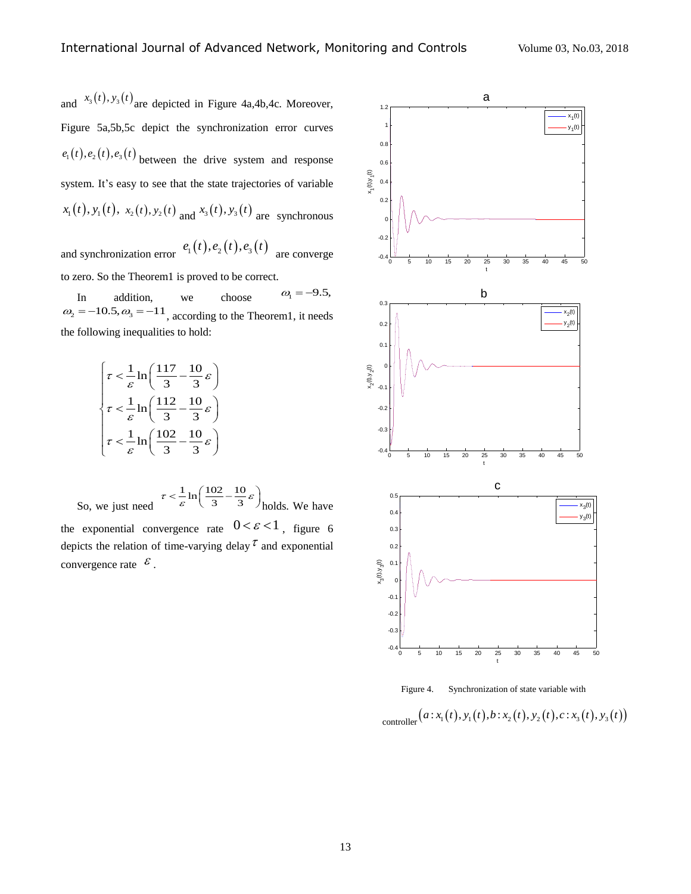and  $x_3(t)$ ,  $y_3(t)$  are depicted in Figure 4a, 4b, 4c. Moreover, Figure 5a,5b,5c depict the synchronization error curves  $e_1(t), e_2(t), e_3(t)$  between the drive system and response system. It's easy to see that the state trajectories of variable  $x_1(t), y_1(t), x_2(t), y_2(t)$  and  $x_3(t), y_3(t)$  are synchronous

and synchronization error  $e_1(t)$ ,  $e_2(t)$ ,  $e_3(t)$  are converge to zero. So the Theorem1 is proved to be correct.

In addition, we choose  $\omega_{\rm l} = -9.5,$  $\omega_2 = -10.5, \omega_3 = -11$ , according to the Theorem1, it needs the following inequalities to hold:

$$
\left\{\n\begin{aligned}\n\tau &< \frac{1}{\varepsilon} \ln\left(\frac{117}{3} - \frac{10}{3}\varepsilon\right) \\
\tau &< \frac{1}{\varepsilon} \ln\left(\frac{112}{3} - \frac{10}{3}\varepsilon\right) \\
\tau &< \frac{1}{\varepsilon} \ln\left(\frac{102}{3} - \frac{10}{3}\varepsilon\right)\n\end{aligned}\n\right.
$$

So, we just need  $\tau < \frac{1}{\varepsilon} \ln \left( \frac{102}{3} - \frac{10}{3} \varepsilon \right)$  $\frac{1}{\varepsilon}$  ln $\left(\frac{102}{3} - \frac{10}{3}\varepsilon\right)$  holds. We have the exponential convergence rate  $0 < \varepsilon < 1$ , figure 6 depicts the relation of time-varying delay  $\tau$  and exponential convergence rate  $\epsilon$ .





Figure 4. Synchronization of state variable with<br>  $\text{controller}\left(a: x_1(t), y_1(t), b: x_2(t), y_2(t), c: x_3(t), y_3(t)\right)$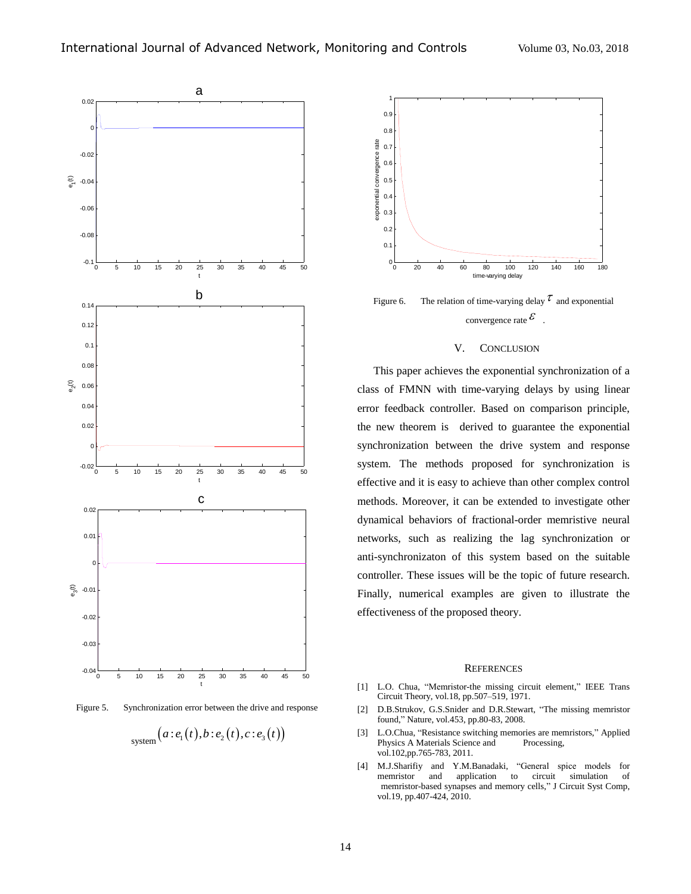

Figure 5. Synchronization error between the drive and response

$$
\mathsf{system}\big(a\!:\!e_1\big(t\big),b\!:\!e_2\big(t\big),c\!:\!e_3\big(t\big)\big)
$$



Figure 6. The relation of time-varying delay  $\tau$  and exponential convergence rate  $\mathcal{E}$ .

### V. CONCLUSION

This paper achieves the exponential synchronization of a class of FMNN with time-varying delays by using linear error feedback controller. Based on comparison principle, the new theorem is derived to guarantee the exponential synchronization between the drive system and response system. The methods proposed for synchronization is effective and it is easy to achieve than other complex control methods. Moreover, it can be extended to investigate other dynamical behaviors of fractional-order memristive neural networks, such as realizing the lag synchronization or anti-synchronizaton of this system based on the suitable controller. These issues will be the topic of future research. Finally, numerical examples are given to illustrate the effectiveness of the proposed theory.

### **REFERENCES**

- [1] L.O. Chua, "Memristor-the missing circuit element," IEEE Trans Circuit Theory, vol.18, pp.507–519, 1971.
- [2] D.B.Strukov, G.S.Snider and D.R.Stewart, "The missing memristor found," Nature, vol.453, pp.80-83, 2008.
- [3] L.O.Chua, "Resistance switching memories are memristors," Applied Physics A Materials Science and Processing, vol.102,pp.765-783, 2011.
- [4] M.J.Sharifiy and Y.M.Banadaki, "General spice models for memristor and application to circuit simulation of memristor-based synapses and memory cells," J Circuit Syst Comp, vol.19, pp.407-424, 2010.